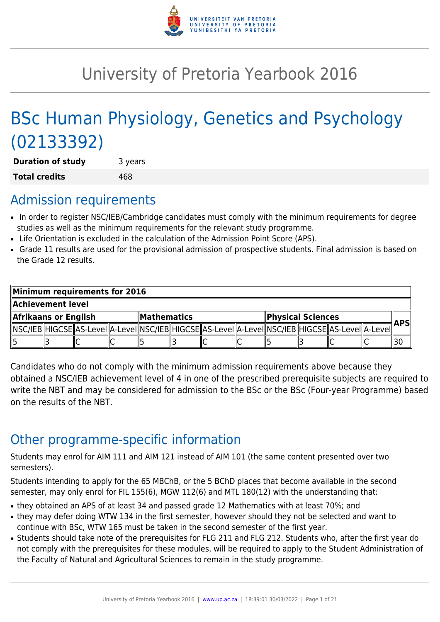

# University of Pretoria Yearbook 2016

# BSc Human Physiology, Genetics and Psychology (02133392)

**Duration of study** 3 years **Total credits** 468

## Admission requirements

- In order to register NSC/IEB/Cambridge candidates must comply with the minimum requirements for degree studies as well as the minimum requirements for the relevant study programme.
- Life Orientation is excluded in the calculation of the Admission Point Score (APS).
- Grade 11 results are used for the provisional admission of prospective students. Final admission is based on the Grade 12 results.

| Minimum requirements for 2016 |  |  |                            |  |  |                   |  |                                                                                                            |     |  |
|-------------------------------|--|--|----------------------------|--|--|-------------------|--|------------------------------------------------------------------------------------------------------------|-----|--|
| Achievement level.            |  |  |                            |  |  |                   |  |                                                                                                            |     |  |
| Afrikaans or English          |  |  | $\blacksquare$ Mathematics |  |  | Physical Sciences |  |                                                                                                            | APS |  |
|                               |  |  |                            |  |  |                   |  | NSC/IEB  HIGCSE  AS-LeveI  A-LeveI  NSC/IEB  HIGCSE  AS-LeveI  A-LeveI  NSC/IEB  HIGCSE  AS-LeveI  A-LeveI |     |  |
| 15                            |  |  |                            |  |  |                   |  |                                                                                                            |     |  |

Candidates who do not comply with the minimum admission requirements above because they obtained a NSC/IEB achievement level of 4 in one of the prescribed prerequisite subjects are required to write the NBT and may be considered for admission to the BSc or the BSc (Four-year Programme) based on the results of the NBT.

## Other programme-specific information

Students may enrol for AIM 111 and AIM 121 instead of AIM 101 (the same content presented over two semesters).

Students intending to apply for the 65 MBChB, or the 5 BChD places that become available in the second semester, may only enrol for FIL 155(6), MGW 112(6) and MTL 180(12) with the understanding that:

- they obtained an APS of at least 34 and passed grade 12 Mathematics with at least 70%; and
- they may defer doing WTW 134 in the first semester, however should they not be selected and want to continue with BSc, WTW 165 must be taken in the second semester of the first year.
- Students should take note of the prerequisites for FLG 211 and FLG 212. Students who, after the first year do not comply with the prerequisites for these modules, will be required to apply to the Student Administration of the Faculty of Natural and Agricultural Sciences to remain in the study programme.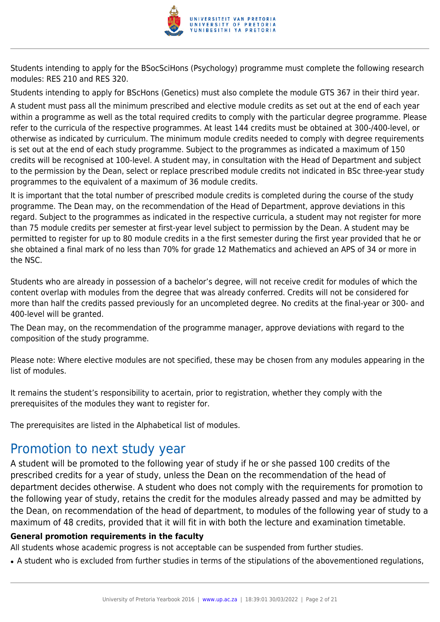

Students intending to apply for the BSocSciHons (Psychology) programme must complete the following research modules: RES 210 and RES 320.

Students intending to apply for BScHons (Genetics) must also complete the module GTS 367 in their third year.

A student must pass all the minimum prescribed and elective module credits as set out at the end of each year within a programme as well as the total required credits to comply with the particular degree programme. Please refer to the curricula of the respective programmes. At least 144 credits must be obtained at 300-/400-level, or otherwise as indicated by curriculum. The minimum module credits needed to comply with degree requirements is set out at the end of each study programme. Subject to the programmes as indicated a maximum of 150 credits will be recognised at 100-level. A student may, in consultation with the Head of Department and subject to the permission by the Dean, select or replace prescribed module credits not indicated in BSc three-year study programmes to the equivalent of a maximum of 36 module credits.

It is important that the total number of prescribed module credits is completed during the course of the study programme. The Dean may, on the recommendation of the Head of Department, approve deviations in this regard. Subject to the programmes as indicated in the respective curricula, a student may not register for more than 75 module credits per semester at first-year level subject to permission by the Dean. A student may be permitted to register for up to 80 module credits in a the first semester during the first year provided that he or she obtained a final mark of no less than 70% for grade 12 Mathematics and achieved an APS of 34 or more in the NSC.

Students who are already in possession of a bachelor's degree, will not receive credit for modules of which the content overlap with modules from the degree that was already conferred. Credits will not be considered for more than half the credits passed previously for an uncompleted degree. No credits at the final-year or 300- and 400-level will be granted.

The Dean may, on the recommendation of the programme manager, approve deviations with regard to the composition of the study programme.

Please note: Where elective modules are not specified, these may be chosen from any modules appearing in the list of modules.

It remains the student's responsibility to acertain, prior to registration, whether they comply with the prerequisites of the modules they want to register for.

The prerequisites are listed in the Alphabetical list of modules.

## Promotion to next study year

A student will be promoted to the following year of study if he or she passed 100 credits of the prescribed credits for a year of study, unless the Dean on the recommendation of the head of department decides otherwise. A student who does not comply with the requirements for promotion to the following year of study, retains the credit for the modules already passed and may be admitted by the Dean, on recommendation of the head of department, to modules of the following year of study to a maximum of 48 credits, provided that it will fit in with both the lecture and examination timetable.

## **General promotion requirements in the faculty**

All students whose academic progress is not acceptable can be suspended from further studies.

• A student who is excluded from further studies in terms of the stipulations of the abovementioned regulations,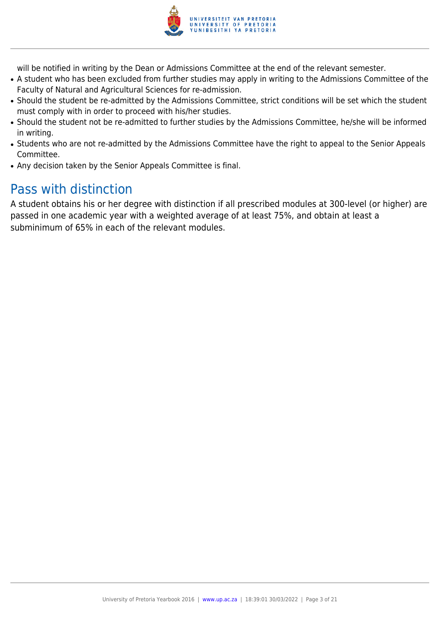

will be notified in writing by the Dean or Admissions Committee at the end of the relevant semester.

- A student who has been excluded from further studies may apply in writing to the Admissions Committee of the Faculty of Natural and Agricultural Sciences for re-admission.
- Should the student be re-admitted by the Admissions Committee, strict conditions will be set which the student must comply with in order to proceed with his/her studies.
- Should the student not be re-admitted to further studies by the Admissions Committee, he/she will be informed in writing.
- Students who are not re-admitted by the Admissions Committee have the right to appeal to the Senior Appeals Committee.
- Any decision taken by the Senior Appeals Committee is final.

## Pass with distinction

A student obtains his or her degree with distinction if all prescribed modules at 300-level (or higher) are passed in one academic year with a weighted average of at least 75%, and obtain at least a subminimum of 65% in each of the relevant modules.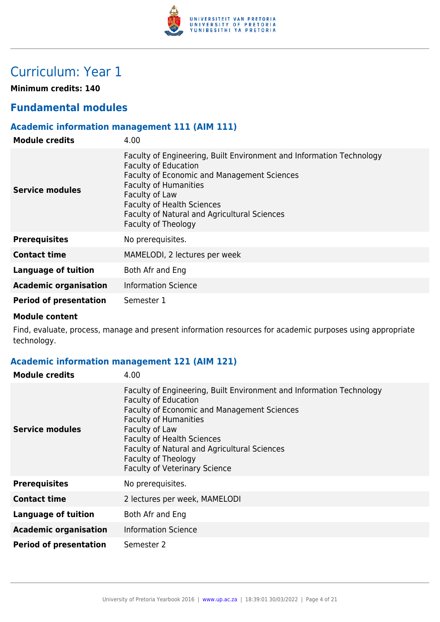

## Curriculum: Year 1

**Minimum credits: 140**

## **Fundamental modules**

## **Academic information management 111 (AIM 111)**

| <b>Module credits</b>         | 4.00                                                                                                                                                                                                                                                                                                                           |
|-------------------------------|--------------------------------------------------------------------------------------------------------------------------------------------------------------------------------------------------------------------------------------------------------------------------------------------------------------------------------|
| Service modules               | Faculty of Engineering, Built Environment and Information Technology<br><b>Faculty of Education</b><br><b>Faculty of Economic and Management Sciences</b><br><b>Faculty of Humanities</b><br>Faculty of Law<br><b>Faculty of Health Sciences</b><br><b>Faculty of Natural and Agricultural Sciences</b><br>Faculty of Theology |
| <b>Prerequisites</b>          | No prerequisites.                                                                                                                                                                                                                                                                                                              |
| <b>Contact time</b>           | MAMELODI, 2 lectures per week                                                                                                                                                                                                                                                                                                  |
| Language of tuition           | Both Afr and Eng                                                                                                                                                                                                                                                                                                               |
| <b>Academic organisation</b>  | <b>Information Science</b>                                                                                                                                                                                                                                                                                                     |
| <b>Period of presentation</b> | Semester 1                                                                                                                                                                                                                                                                                                                     |

#### **Module content**

Find, evaluate, process, manage and present information resources for academic purposes using appropriate technology.

## **Academic information management 121 (AIM 121)**

| <b>Module credits</b>         | 4.00                                                                                                                                                                                                                                                                                                                                                     |
|-------------------------------|----------------------------------------------------------------------------------------------------------------------------------------------------------------------------------------------------------------------------------------------------------------------------------------------------------------------------------------------------------|
| Service modules               | Faculty of Engineering, Built Environment and Information Technology<br><b>Faculty of Education</b><br>Faculty of Economic and Management Sciences<br><b>Faculty of Humanities</b><br>Faculty of Law<br><b>Faculty of Health Sciences</b><br>Faculty of Natural and Agricultural Sciences<br>Faculty of Theology<br><b>Faculty of Veterinary Science</b> |
| <b>Prerequisites</b>          | No prerequisites.                                                                                                                                                                                                                                                                                                                                        |
| <b>Contact time</b>           | 2 lectures per week, MAMELODI                                                                                                                                                                                                                                                                                                                            |
| Language of tuition           | Both Afr and Eng                                                                                                                                                                                                                                                                                                                                         |
| <b>Academic organisation</b>  | <b>Information Science</b>                                                                                                                                                                                                                                                                                                                               |
| <b>Period of presentation</b> | Semester 2                                                                                                                                                                                                                                                                                                                                               |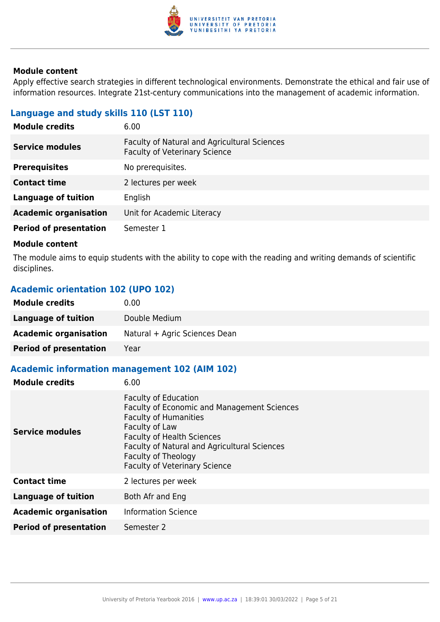

Apply effective search strategies in different technological environments. Demonstrate the ethical and fair use of information resources. Integrate 21st-century communications into the management of academic information.

## **Language and study skills 110 (LST 110)**

| 6.00                                                                                 |
|--------------------------------------------------------------------------------------|
| Faculty of Natural and Agricultural Sciences<br><b>Faculty of Veterinary Science</b> |
| No prerequisites.                                                                    |
| 2 lectures per week                                                                  |
| English                                                                              |
| Unit for Academic Literacy                                                           |
| Semester 1                                                                           |
|                                                                                      |

#### **Module content**

The module aims to equip students with the ability to cope with the reading and writing demands of scientific disciplines.

## **Academic orientation 102 (UPO 102)**

| <b>Module credits</b>         | 0.00                          |
|-------------------------------|-------------------------------|
| Language of tuition           | Double Medium                 |
| <b>Academic organisation</b>  | Natural + Agric Sciences Dean |
| <b>Period of presentation</b> | Year                          |

## **Academic information management 102 (AIM 102)**

| <b>Module credits</b>         | 6.00                                                                                                                                                                                                                                                                                    |
|-------------------------------|-----------------------------------------------------------------------------------------------------------------------------------------------------------------------------------------------------------------------------------------------------------------------------------------|
| <b>Service modules</b>        | <b>Faculty of Education</b><br><b>Faculty of Economic and Management Sciences</b><br><b>Faculty of Humanities</b><br>Faculty of Law<br><b>Faculty of Health Sciences</b><br>Faculty of Natural and Agricultural Sciences<br>Faculty of Theology<br><b>Faculty of Veterinary Science</b> |
| <b>Contact time</b>           | 2 lectures per week                                                                                                                                                                                                                                                                     |
| Language of tuition           | Both Afr and Eng                                                                                                                                                                                                                                                                        |
| <b>Academic organisation</b>  | <b>Information Science</b>                                                                                                                                                                                                                                                              |
| <b>Period of presentation</b> | Semester 2                                                                                                                                                                                                                                                                              |
|                               |                                                                                                                                                                                                                                                                                         |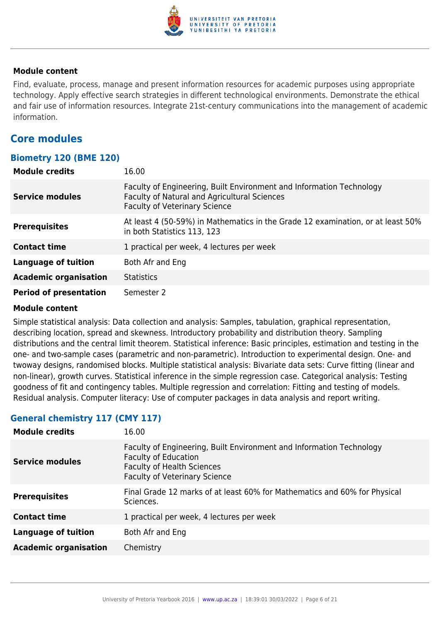

Find, evaluate, process, manage and present information resources for academic purposes using appropriate technology. Apply effective search strategies in different technological environments. Demonstrate the ethical and fair use of information resources. Integrate 21st-century communications into the management of academic information.

## **Core modules**

## **Biometry 120 (BME 120)**

| <b>Module credits</b>         | 16.00                                                                                                                                                        |
|-------------------------------|--------------------------------------------------------------------------------------------------------------------------------------------------------------|
| <b>Service modules</b>        | Faculty of Engineering, Built Environment and Information Technology<br>Faculty of Natural and Agricultural Sciences<br><b>Faculty of Veterinary Science</b> |
| <b>Prerequisites</b>          | At least 4 (50-59%) in Mathematics in the Grade 12 examination, or at least 50%<br>in both Statistics 113, 123                                               |
| <b>Contact time</b>           | 1 practical per week, 4 lectures per week                                                                                                                    |
| <b>Language of tuition</b>    | Both Afr and Eng                                                                                                                                             |
| <b>Academic organisation</b>  | <b>Statistics</b>                                                                                                                                            |
| <b>Period of presentation</b> | Semester 2                                                                                                                                                   |

#### **Module content**

Simple statistical analysis: Data collection and analysis: Samples, tabulation, graphical representation, describing location, spread and skewness. Introductory probability and distribution theory. Sampling distributions and the central limit theorem. Statistical inference: Basic principles, estimation and testing in the one- and two-sample cases (parametric and non-parametric). Introduction to experimental design. One- and twoway designs, randomised blocks. Multiple statistical analysis: Bivariate data sets: Curve fitting (linear and non-linear), growth curves. Statistical inference in the simple regression case. Categorical analysis: Testing goodness of fit and contingency tables. Multiple regression and correlation: Fitting and testing of models. Residual analysis. Computer literacy: Use of computer packages in data analysis and report writing.

## **General chemistry 117 (CMY 117)**

| <b>Module credits</b>        | 16.00                                                                                                                                                                            |
|------------------------------|----------------------------------------------------------------------------------------------------------------------------------------------------------------------------------|
| <b>Service modules</b>       | Faculty of Engineering, Built Environment and Information Technology<br><b>Faculty of Education</b><br><b>Faculty of Health Sciences</b><br><b>Faculty of Veterinary Science</b> |
| <b>Prerequisites</b>         | Final Grade 12 marks of at least 60% for Mathematics and 60% for Physical<br>Sciences.                                                                                           |
| <b>Contact time</b>          | 1 practical per week, 4 lectures per week                                                                                                                                        |
| <b>Language of tuition</b>   | Both Afr and Eng                                                                                                                                                                 |
| <b>Academic organisation</b> | Chemistry                                                                                                                                                                        |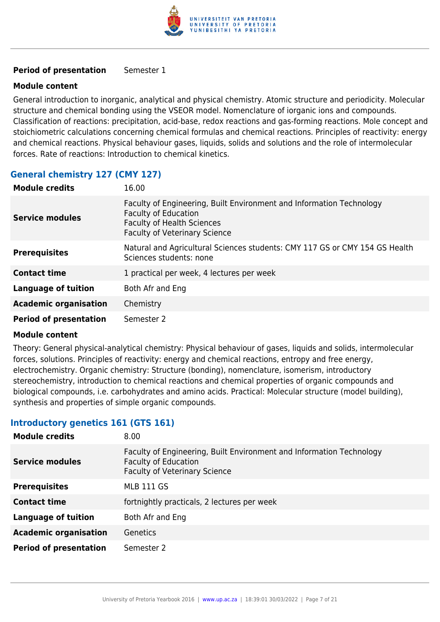

#### **Period of presentation** Semester 1

#### **Module content**

General introduction to inorganic, analytical and physical chemistry. Atomic structure and periodicity. Molecular structure and chemical bonding using the VSEOR model. Nomenclature of iorganic ions and compounds. Classification of reactions: precipitation, acid-base, redox reactions and gas-forming reactions. Mole concept and stoichiometric calculations concerning chemical formulas and chemical reactions. Principles of reactivity: energy and chemical reactions. Physical behaviour gases, liquids, solids and solutions and the role of intermolecular forces. Rate of reactions: Introduction to chemical kinetics.

## **General chemistry 127 (CMY 127)**

| <b>Module credits</b>         | 16.00                                                                                                                                                                            |
|-------------------------------|----------------------------------------------------------------------------------------------------------------------------------------------------------------------------------|
| <b>Service modules</b>        | Faculty of Engineering, Built Environment and Information Technology<br><b>Faculty of Education</b><br><b>Faculty of Health Sciences</b><br><b>Faculty of Veterinary Science</b> |
| <b>Prerequisites</b>          | Natural and Agricultural Sciences students: CMY 117 GS or CMY 154 GS Health<br>Sciences students: none                                                                           |
| <b>Contact time</b>           | 1 practical per week, 4 lectures per week                                                                                                                                        |
| <b>Language of tuition</b>    | Both Afr and Eng                                                                                                                                                                 |
| <b>Academic organisation</b>  | Chemistry                                                                                                                                                                        |
| <b>Period of presentation</b> | Semester 2                                                                                                                                                                       |

#### **Module content**

Theory: General physical-analytical chemistry: Physical behaviour of gases, liquids and solids, intermolecular forces, solutions. Principles of reactivity: energy and chemical reactions, entropy and free energy, electrochemistry. Organic chemistry: Structure (bonding), nomenclature, isomerism, introductory stereochemistry, introduction to chemical reactions and chemical properties of organic compounds and biological compounds, i.e. carbohydrates and amino acids. Practical: Molecular structure (model building), synthesis and properties of simple organic compounds.

#### **Introductory genetics 161 (GTS 161)**

| <b>Module credits</b>         | 8.00                                                                                                                                        |
|-------------------------------|---------------------------------------------------------------------------------------------------------------------------------------------|
| <b>Service modules</b>        | Faculty of Engineering, Built Environment and Information Technology<br><b>Faculty of Education</b><br><b>Faculty of Veterinary Science</b> |
| <b>Prerequisites</b>          | <b>MLB 111 GS</b>                                                                                                                           |
| <b>Contact time</b>           | fortnightly practicals, 2 lectures per week                                                                                                 |
| Language of tuition           | Both Afr and Eng                                                                                                                            |
| <b>Academic organisation</b>  | <b>Genetics</b>                                                                                                                             |
| <b>Period of presentation</b> | Semester 2                                                                                                                                  |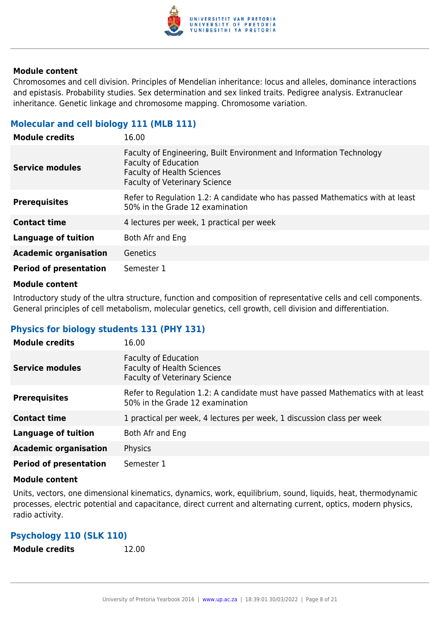

Chromosomes and cell division. Principles of Mendelian inheritance: locus and alleles, dominance interactions and epistasis. Probability studies. Sex determination and sex linked traits. Pedigree analysis. Extranuclear inheritance. Genetic linkage and chromosome mapping. Chromosome variation.

#### **Molecular and cell biology 111 (MLB 111)**

| <b>Module credits</b>         | 16.00                                                                                                                                                                            |
|-------------------------------|----------------------------------------------------------------------------------------------------------------------------------------------------------------------------------|
| Service modules               | Faculty of Engineering, Built Environment and Information Technology<br><b>Faculty of Education</b><br><b>Faculty of Health Sciences</b><br><b>Faculty of Veterinary Science</b> |
| <b>Prerequisites</b>          | Refer to Regulation 1.2: A candidate who has passed Mathematics with at least<br>50% in the Grade 12 examination                                                                 |
| <b>Contact time</b>           | 4 lectures per week, 1 practical per week                                                                                                                                        |
| <b>Language of tuition</b>    | Both Afr and Eng                                                                                                                                                                 |
| <b>Academic organisation</b>  | Genetics                                                                                                                                                                         |
| <b>Period of presentation</b> | Semester 1                                                                                                                                                                       |

#### **Module content**

Introductory study of the ultra structure, function and composition of representative cells and cell components. General principles of cell metabolism, molecular genetics, cell growth, cell division and differentiation.

## **Physics for biology students 131 (PHY 131)**

| <b>Module credits</b>         | 16.00                                                                                                              |
|-------------------------------|--------------------------------------------------------------------------------------------------------------------|
| Service modules               | Faculty of Education<br><b>Faculty of Health Sciences</b><br><b>Faculty of Veterinary Science</b>                  |
| <b>Prerequisites</b>          | Refer to Regulation 1.2: A candidate must have passed Mathematics with at least<br>50% in the Grade 12 examination |
| <b>Contact time</b>           | 1 practical per week, 4 lectures per week, 1 discussion class per week                                             |
| <b>Language of tuition</b>    | Both Afr and Eng                                                                                                   |
| <b>Academic organisation</b>  | Physics                                                                                                            |
| <b>Period of presentation</b> | Semester 1                                                                                                         |

#### **Module content**

Units, vectors, one dimensional kinematics, dynamics, work, equilibrium, sound, liquids, heat, thermodynamic processes, electric potential and capacitance, direct current and alternating current, optics, modern physics, radio activity.

#### **Psychology 110 (SLK 110)**

**Module credits** 12.00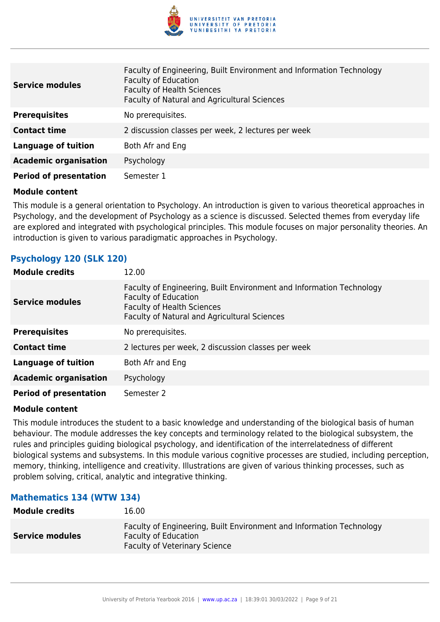

| <b>Service modules</b>        | Faculty of Engineering, Built Environment and Information Technology<br><b>Faculty of Education</b><br><b>Faculty of Health Sciences</b><br>Faculty of Natural and Agricultural Sciences |
|-------------------------------|------------------------------------------------------------------------------------------------------------------------------------------------------------------------------------------|
| <b>Prerequisites</b>          | No prerequisites.                                                                                                                                                                        |
| <b>Contact time</b>           | 2 discussion classes per week, 2 lectures per week                                                                                                                                       |
| Language of tuition           | Both Afr and Eng                                                                                                                                                                         |
| <b>Academic organisation</b>  | Psychology                                                                                                                                                                               |
| <b>Period of presentation</b> | Semester 1                                                                                                                                                                               |

This module is a general orientation to Psychology. An introduction is given to various theoretical approaches in Psychology, and the development of Psychology as a science is discussed. Selected themes from everyday life are explored and integrated with psychological principles. This module focuses on major personality theories. An introduction is given to various paradigmatic approaches in Psychology.

#### **Psychology 120 (SLK 120)**

| <b>Module credits</b>         | 12.00                                                                                                                                                                                    |
|-------------------------------|------------------------------------------------------------------------------------------------------------------------------------------------------------------------------------------|
| <b>Service modules</b>        | Faculty of Engineering, Built Environment and Information Technology<br><b>Faculty of Education</b><br><b>Faculty of Health Sciences</b><br>Faculty of Natural and Agricultural Sciences |
| <b>Prerequisites</b>          | No prerequisites.                                                                                                                                                                        |
| <b>Contact time</b>           | 2 lectures per week, 2 discussion classes per week                                                                                                                                       |
| <b>Language of tuition</b>    | Both Afr and Eng                                                                                                                                                                         |
| <b>Academic organisation</b>  | Psychology                                                                                                                                                                               |
| <b>Period of presentation</b> | Semester 2                                                                                                                                                                               |

#### **Module content**

This module introduces the student to a basic knowledge and understanding of the biological basis of human behaviour. The module addresses the key concepts and terminology related to the biological subsystem, the rules and principles guiding biological psychology, and identification of the interrelatedness of different biological systems and subsystems. In this module various cognitive processes are studied, including perception, memory, thinking, intelligence and creativity. Illustrations are given of various thinking processes, such as problem solving, critical, analytic and integrative thinking.

#### **Mathematics 134 (WTW 134)**

| <b>Module credits</b>  | 16.00                                                                                                                                       |
|------------------------|---------------------------------------------------------------------------------------------------------------------------------------------|
| <b>Service modules</b> | Faculty of Engineering, Built Environment and Information Technology<br><b>Faculty of Education</b><br><b>Faculty of Veterinary Science</b> |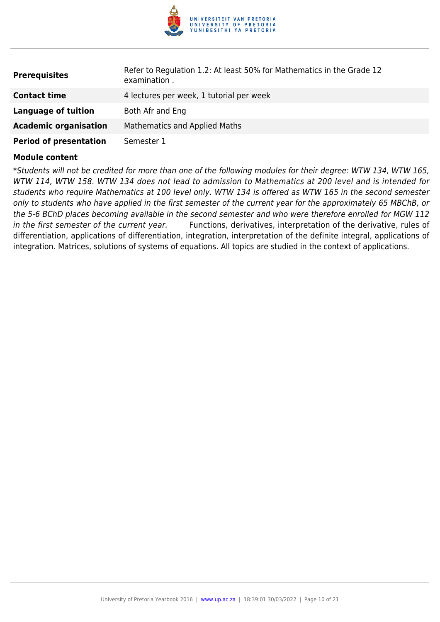

| <b>Prerequisites</b>          | Refer to Regulation 1.2: At least 50% for Mathematics in the Grade 12<br>examination. |
|-------------------------------|---------------------------------------------------------------------------------------|
| <b>Contact time</b>           | 4 lectures per week, 1 tutorial per week                                              |
| Language of tuition           | Both Afr and Eng                                                                      |
| <b>Academic organisation</b>  | Mathematics and Applied Maths                                                         |
| <b>Period of presentation</b> | Semester 1                                                                            |

\*Students will not be credited for more than one of the following modules for their degree: WTW 134, WTW 165, WTW 114, WTW 158. WTW 134 does not lead to admission to Mathematics at 200 level and is intended for students who require Mathematics at 100 level only. WTW 134 is offered as WTW 165 in the second semester only to students who have applied in the first semester of the current year for the approximately 65 MBChB, or the 5-6 BChD places becoming available in the second semester and who were therefore enrolled for MGW 112 in the first semester of the current year. Functions, derivatives, interpretation of the derivative, rules of differentiation, applications of differentiation, integration, interpretation of the definite integral, applications of integration. Matrices, solutions of systems of equations. All topics are studied in the context of applications.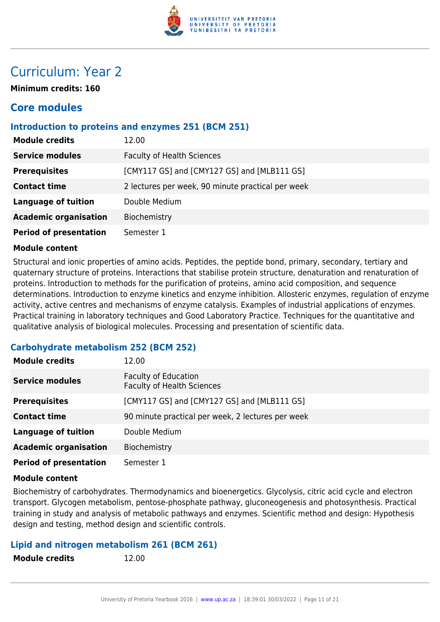

## Curriculum: Year 2

**Minimum credits: 160**

## **Core modules**

#### **Introduction to proteins and enzymes 251 (BCM 251)**

| <b>Module credits</b>         | 12.00                                             |
|-------------------------------|---------------------------------------------------|
| <b>Service modules</b>        | <b>Faculty of Health Sciences</b>                 |
| <b>Prerequisites</b>          | [CMY117 GS] and [CMY127 GS] and [MLB111 GS]       |
| <b>Contact time</b>           | 2 lectures per week, 90 minute practical per week |
| <b>Language of tuition</b>    | Double Medium                                     |
| <b>Academic organisation</b>  | Biochemistry                                      |
| <b>Period of presentation</b> | Semester 1                                        |

#### **Module content**

Structural and ionic properties of amino acids. Peptides, the peptide bond, primary, secondary, tertiary and quaternary structure of proteins. Interactions that stabilise protein structure, denaturation and renaturation of proteins. Introduction to methods for the purification of proteins, amino acid composition, and sequence determinations. Introduction to enzyme kinetics and enzyme inhibition. Allosteric enzymes, regulation of enzyme activity, active centres and mechanisms of enzyme catalysis. Examples of industrial applications of enzymes. Practical training in laboratory techniques and Good Laboratory Practice. Techniques for the quantitative and qualitative analysis of biological molecules. Processing and presentation of scientific data.

## **Carbohydrate metabolism 252 (BCM 252)**

| <b>Module credits</b>         | 12.00                                                            |
|-------------------------------|------------------------------------------------------------------|
| <b>Service modules</b>        | <b>Faculty of Education</b><br><b>Faculty of Health Sciences</b> |
| <b>Prerequisites</b>          | [CMY117 GS] and [CMY127 GS] and [MLB111 GS]                      |
| <b>Contact time</b>           | 90 minute practical per week, 2 lectures per week                |
| <b>Language of tuition</b>    | Double Medium                                                    |
| <b>Academic organisation</b>  | Biochemistry                                                     |
| <b>Period of presentation</b> | Semester 1                                                       |

#### **Module content**

Biochemistry of carbohydrates. Thermodynamics and bioenergetics. Glycolysis, citric acid cycle and electron transport. Glycogen metabolism, pentose-phosphate pathway, gluconeogenesis and photosynthesis. Practical training in study and analysis of metabolic pathways and enzymes. Scientific method and design: Hypothesis design and testing, method design and scientific controls.

#### **Lipid and nitrogen metabolism 261 (BCM 261)**

**Module credits** 12.00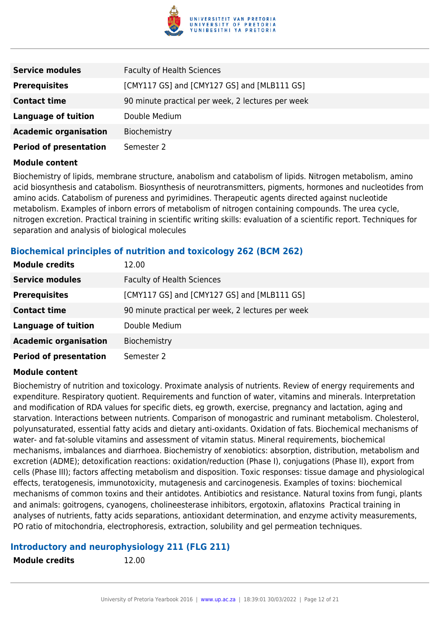

| <b>Service modules</b>        | <b>Faculty of Health Sciences</b>                 |
|-------------------------------|---------------------------------------------------|
| <b>Prerequisites</b>          | [CMY117 GS] and [CMY127 GS] and [MLB111 GS]       |
| <b>Contact time</b>           | 90 minute practical per week, 2 lectures per week |
| <b>Language of tuition</b>    | Double Medium                                     |
| <b>Academic organisation</b>  | Biochemistry                                      |
| <b>Period of presentation</b> | Semester 2                                        |

Biochemistry of lipids, membrane structure, anabolism and catabolism of lipids. Nitrogen metabolism, amino acid biosynthesis and catabolism. Biosynthesis of neurotransmitters, pigments, hormones and nucleotides from amino acids. Catabolism of pureness and pyrimidines. Therapeutic agents directed against nucleotide metabolism. Examples of inborn errors of metabolism of nitrogen containing compounds. The urea cycle, nitrogen excretion. Practical training in scientific writing skills: evaluation of a scientific report. Techniques for separation and analysis of biological molecules

## **Biochemical principles of nutrition and toxicology 262 (BCM 262)**

| <b>Module credits</b>         | 12.00                                             |
|-------------------------------|---------------------------------------------------|
| <b>Service modules</b>        | <b>Faculty of Health Sciences</b>                 |
| <b>Prerequisites</b>          | [CMY117 GS] and [CMY127 GS] and [MLB111 GS]       |
| <b>Contact time</b>           | 90 minute practical per week, 2 lectures per week |
| <b>Language of tuition</b>    | Double Medium                                     |
| <b>Academic organisation</b>  | Biochemistry                                      |
| <b>Period of presentation</b> | Semester 2                                        |

#### **Module content**

Biochemistry of nutrition and toxicology. Proximate analysis of nutrients. Review of energy requirements and expenditure. Respiratory quotient. Requirements and function of water, vitamins and minerals. Interpretation and modification of RDA values for specific diets, eg growth, exercise, pregnancy and lactation, aging and starvation. Interactions between nutrients. Comparison of monogastric and ruminant metabolism. Cholesterol, polyunsaturated, essential fatty acids and dietary anti-oxidants. Oxidation of fats. Biochemical mechanisms of water- and fat-soluble vitamins and assessment of vitamin status. Mineral requirements, biochemical mechanisms, imbalances and diarrhoea. Biochemistry of xenobiotics: absorption, distribution, metabolism and excretion (ADME); detoxification reactions: oxidation/reduction (Phase I), conjugations (Phase II), export from cells (Phase III); factors affecting metabolism and disposition. Toxic responses: tissue damage and physiological effects, teratogenesis, immunotoxicity, mutagenesis and carcinogenesis. Examples of toxins: biochemical mechanisms of common toxins and their antidotes. Antibiotics and resistance. Natural toxins from fungi, plants and animals: goitrogens, cyanogens, cholineesterase inhibitors, ergotoxin, aflatoxins Practical training in analyses of nutrients, fatty acids separations, antioxidant determination, and enzyme activity measurements, PO ratio of mitochondria, electrophoresis, extraction, solubility and gel permeation techniques.

#### **Introductory and neurophysiology 211 (FLG 211)**

**Module credits** 12.00

University of Pretoria Yearbook 2016 | [www.up.ac.za](https://www.google.com/) | 18:39:01 30/03/2022 | Page 12 of 21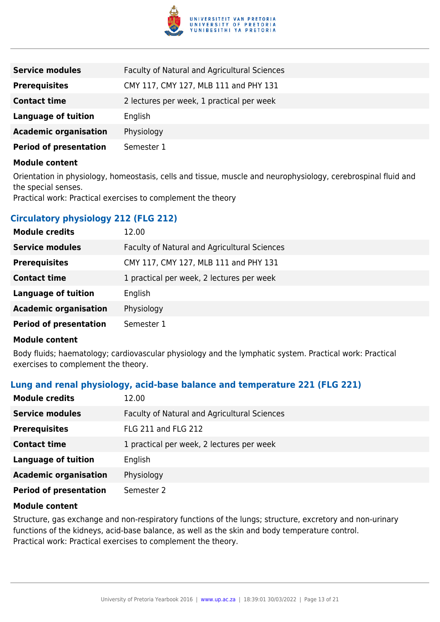

| <b>Service modules</b>        | <b>Faculty of Natural and Agricultural Sciences</b> |
|-------------------------------|-----------------------------------------------------|
| <b>Prerequisites</b>          | CMY 117, CMY 127, MLB 111 and PHY 131               |
| <b>Contact time</b>           | 2 lectures per week, 1 practical per week           |
| Language of tuition           | English                                             |
| <b>Academic organisation</b>  | Physiology                                          |
| <b>Period of presentation</b> | Semester 1                                          |

Orientation in physiology, homeostasis, cells and tissue, muscle and neurophysiology, cerebrospinal fluid and the special senses.

Practical work: Practical exercises to complement the theory

## **Circulatory physiology 212 (FLG 212)**

| <b>Module credits</b>         | 12.00                                        |
|-------------------------------|----------------------------------------------|
| <b>Service modules</b>        | Faculty of Natural and Agricultural Sciences |
| <b>Prerequisites</b>          | CMY 117, CMY 127, MLB 111 and PHY 131        |
| <b>Contact time</b>           | 1 practical per week, 2 lectures per week    |
| <b>Language of tuition</b>    | English                                      |
| <b>Academic organisation</b>  | Physiology                                   |
| <b>Period of presentation</b> | Semester 1                                   |

#### **Module content**

Body fluids; haematology; cardiovascular physiology and the lymphatic system. Practical work: Practical exercises to complement the theory.

## **Lung and renal physiology, acid-base balance and temperature 221 (FLG 221)**

| <b>Module credits</b>         | 12.00                                        |
|-------------------------------|----------------------------------------------|
| <b>Service modules</b>        | Faculty of Natural and Agricultural Sciences |
| <b>Prerequisites</b>          | <b>FLG 211 and FLG 212</b>                   |
| <b>Contact time</b>           | 1 practical per week, 2 lectures per week    |
| <b>Language of tuition</b>    | English                                      |
| <b>Academic organisation</b>  | Physiology                                   |
| <b>Period of presentation</b> | Semester 2                                   |

#### **Module content**

Structure, gas exchange and non-respiratory functions of the lungs; structure, excretory and non-urinary functions of the kidneys, acid-base balance, as well as the skin and body temperature control. Practical work: Practical exercises to complement the theory.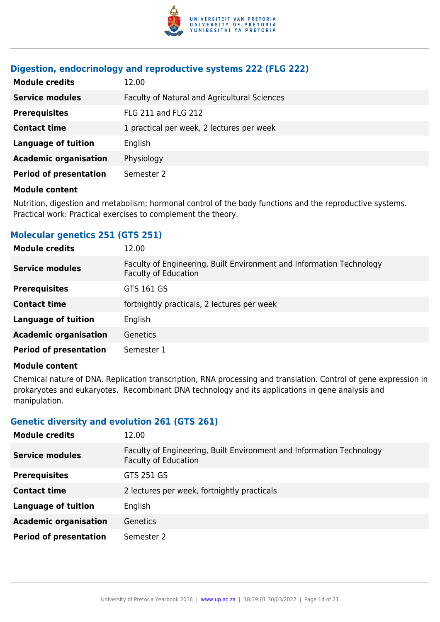

#### **Digestion, endocrinology and reproductive systems 222 (FLG 222)**

| <b>Module credits</b>         | 12.00                                        |
|-------------------------------|----------------------------------------------|
| <b>Service modules</b>        | Faculty of Natural and Agricultural Sciences |
| <b>Prerequisites</b>          | FLG 211 and FLG 212                          |
| <b>Contact time</b>           | 1 practical per week, 2 lectures per week    |
| <b>Language of tuition</b>    | English                                      |
| <b>Academic organisation</b>  | Physiology                                   |
| <b>Period of presentation</b> | Semester 2                                   |

#### **Module content**

Nutrition, digestion and metabolism; hormonal control of the body functions and the reproductive systems. Practical work: Practical exercises to complement the theory.

#### **Molecular genetics 251 (GTS 251)**

| <b>Module credits</b>         | 12.00                                                                                               |
|-------------------------------|-----------------------------------------------------------------------------------------------------|
| <b>Service modules</b>        | Faculty of Engineering, Built Environment and Information Technology<br><b>Faculty of Education</b> |
| <b>Prerequisites</b>          | GTS 161 GS                                                                                          |
| <b>Contact time</b>           | fortnightly practicals, 2 lectures per week                                                         |
| <b>Language of tuition</b>    | English                                                                                             |
| <b>Academic organisation</b>  | <b>Genetics</b>                                                                                     |
| <b>Period of presentation</b> | Semester 1                                                                                          |

#### **Module content**

Chemical nature of DNA. Replication transcription, RNA processing and translation. Control of gene expression in prokaryotes and eukaryotes. Recombinant DNA technology and its applications in gene analysis and manipulation.

#### **Genetic diversity and evolution 261 (GTS 261)**

| <b>Module credits</b>         | 12.00                                                                                               |
|-------------------------------|-----------------------------------------------------------------------------------------------------|
| <b>Service modules</b>        | Faculty of Engineering, Built Environment and Information Technology<br><b>Faculty of Education</b> |
| <b>Prerequisites</b>          | GTS 251 GS                                                                                          |
| <b>Contact time</b>           | 2 lectures per week, fortnightly practicals                                                         |
| <b>Language of tuition</b>    | English                                                                                             |
| <b>Academic organisation</b>  | Genetics                                                                                            |
| <b>Period of presentation</b> | Semester 2                                                                                          |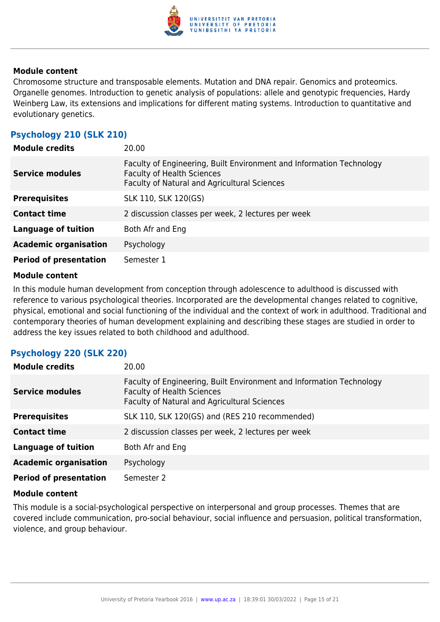

Chromosome structure and transposable elements. Mutation and DNA repair. Genomics and proteomics. Organelle genomes. Introduction to genetic analysis of populations: allele and genotypic frequencies, Hardy Weinberg Law, its extensions and implications for different mating systems. Introduction to quantitative and evolutionary genetics.

## **Psychology 210 (SLK 210)**

| <b>Module credits</b>         | 20.00                                                                                                                                                     |
|-------------------------------|-----------------------------------------------------------------------------------------------------------------------------------------------------------|
| <b>Service modules</b>        | Faculty of Engineering, Built Environment and Information Technology<br><b>Faculty of Health Sciences</b><br>Faculty of Natural and Agricultural Sciences |
| <b>Prerequisites</b>          | SLK 110, SLK 120(GS)                                                                                                                                      |
| <b>Contact time</b>           | 2 discussion classes per week, 2 lectures per week                                                                                                        |
| <b>Language of tuition</b>    | Both Afr and Eng                                                                                                                                          |
| <b>Academic organisation</b>  | Psychology                                                                                                                                                |
| <b>Period of presentation</b> | Semester 1                                                                                                                                                |

#### **Module content**

In this module human development from conception through adolescence to adulthood is discussed with reference to various psychological theories. Incorporated are the developmental changes related to cognitive, physical, emotional and social functioning of the individual and the context of work in adulthood. Traditional and contemporary theories of human development explaining and describing these stages are studied in order to address the key issues related to both childhood and adulthood.

## **Psychology 220 (SLK 220)**

| <b>Module credits</b>         | 20.00                                                                                                                                                     |
|-------------------------------|-----------------------------------------------------------------------------------------------------------------------------------------------------------|
| <b>Service modules</b>        | Faculty of Engineering, Built Environment and Information Technology<br><b>Faculty of Health Sciences</b><br>Faculty of Natural and Agricultural Sciences |
| <b>Prerequisites</b>          | SLK 110, SLK 120(GS) and (RES 210 recommended)                                                                                                            |
| <b>Contact time</b>           | 2 discussion classes per week, 2 lectures per week                                                                                                        |
| <b>Language of tuition</b>    | Both Afr and Eng                                                                                                                                          |
| <b>Academic organisation</b>  | Psychology                                                                                                                                                |
| <b>Period of presentation</b> | Semester 2                                                                                                                                                |

#### **Module content**

This module is a social-psychological perspective on interpersonal and group processes. Themes that are covered include communication, pro-social behaviour, social influence and persuasion, political transformation, violence, and group behaviour.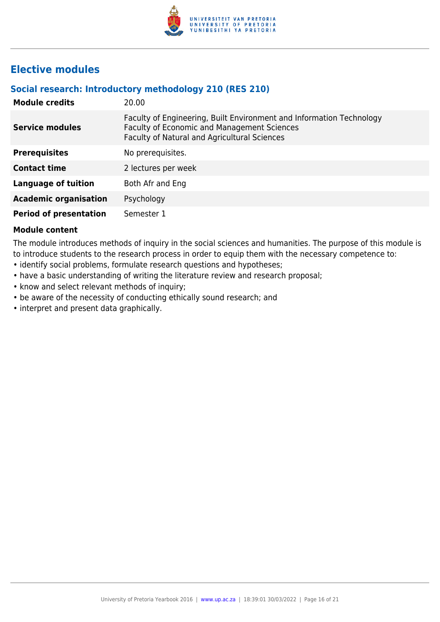

## **Elective modules**

## **Social research: Introductory methodology 210 (RES 210)**

| <b>Module credits</b>         | 20.00                                                                                                                                                               |
|-------------------------------|---------------------------------------------------------------------------------------------------------------------------------------------------------------------|
| <b>Service modules</b>        | Faculty of Engineering, Built Environment and Information Technology<br>Faculty of Economic and Management Sciences<br>Faculty of Natural and Agricultural Sciences |
| <b>Prerequisites</b>          | No prerequisites.                                                                                                                                                   |
| <b>Contact time</b>           | 2 lectures per week                                                                                                                                                 |
| <b>Language of tuition</b>    | Both Afr and Eng                                                                                                                                                    |
| <b>Academic organisation</b>  | Psychology                                                                                                                                                          |
| <b>Period of presentation</b> | Semester 1                                                                                                                                                          |

#### **Module content**

The module introduces methods of inquiry in the social sciences and humanities. The purpose of this module is to introduce students to the research process in order to equip them with the necessary competence to:

- identify social problems, formulate research questions and hypotheses;
- have a basic understanding of writing the literature review and research proposal;
- know and select relevant methods of inquiry;
- be aware of the necessity of conducting ethically sound research; and
- interpret and present data graphically.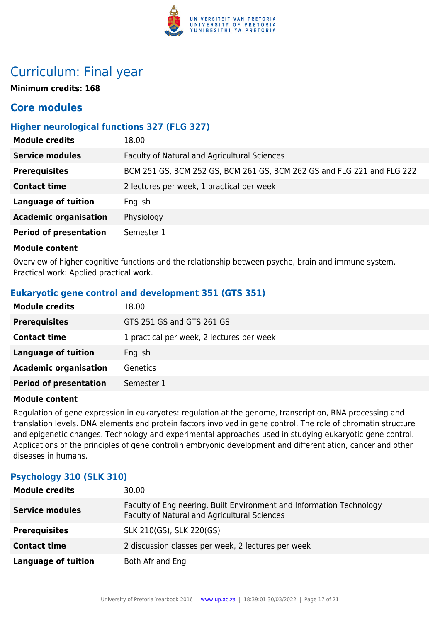

## Curriculum: Final year

**Minimum credits: 168**

## **Core modules**

## **Higher neurological functions 327 (FLG 327)**

| <b>Module credits</b>         | 18.00                                                                  |
|-------------------------------|------------------------------------------------------------------------|
| <b>Service modules</b>        | Faculty of Natural and Agricultural Sciences                           |
| <b>Prerequisites</b>          | BCM 251 GS, BCM 252 GS, BCM 261 GS, BCM 262 GS and FLG 221 and FLG 222 |
| <b>Contact time</b>           | 2 lectures per week, 1 practical per week                              |
| <b>Language of tuition</b>    | English                                                                |
| <b>Academic organisation</b>  | Physiology                                                             |
| <b>Period of presentation</b> | Semester 1                                                             |

#### **Module content**

Overview of higher cognitive functions and the relationship between psyche, brain and immune system. Practical work: Applied practical work.

## **Eukaryotic gene control and development 351 (GTS 351)**

| <b>Module credits</b>         | 18.00                                     |
|-------------------------------|-------------------------------------------|
| <b>Prerequisites</b>          | GTS 251 GS and GTS 261 GS                 |
| <b>Contact time</b>           | 1 practical per week, 2 lectures per week |
| Language of tuition           | English                                   |
| <b>Academic organisation</b>  | <b>Genetics</b>                           |
| <b>Period of presentation</b> | Semester 1                                |

#### **Module content**

Regulation of gene expression in eukaryotes: regulation at the genome, transcription, RNA processing and translation levels. DNA elements and protein factors involved in gene control. The role of chromatin structure and epigenetic changes. Technology and experimental approaches used in studying eukaryotic gene control. Applications of the principles of gene controlin embryonic development and differentiation, cancer and other diseases in humans.

## **Psychology 310 (SLK 310)**

| <b>Module credits</b>      | 30.00                                                                                                                |
|----------------------------|----------------------------------------------------------------------------------------------------------------------|
| <b>Service modules</b>     | Faculty of Engineering, Built Environment and Information Technology<br>Faculty of Natural and Agricultural Sciences |
| <b>Prerequisites</b>       | SLK 210(GS), SLK 220(GS)                                                                                             |
| <b>Contact time</b>        | 2 discussion classes per week, 2 lectures per week                                                                   |
| <b>Language of tuition</b> | Both Afr and Eng                                                                                                     |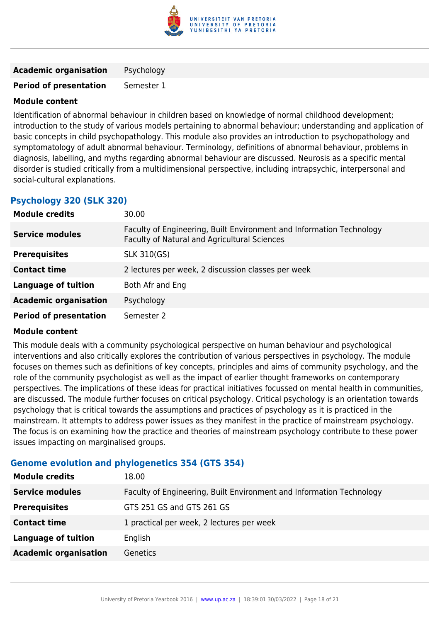

**Academic organisation** Psychology

**Period of presentation** Semester 1

#### **Module content**

Identification of abnormal behaviour in children based on knowledge of normal childhood development; introduction to the study of various models pertaining to abnormal behaviour; understanding and application of basic concepts in child psychopathology. This module also provides an introduction to psychopathology and symptomatology of adult abnormal behaviour. Terminology, definitions of abnormal behaviour, problems in diagnosis, labelling, and myths regarding abnormal behaviour are discussed. Neurosis as a specific mental disorder is studied critically from a multidimensional perspective, including intrapsychic, interpersonal and social-cultural explanations.

## **Psychology 320 (SLK 320)**

| <b>Module credits</b>         | 30.00                                                                                                                |
|-------------------------------|----------------------------------------------------------------------------------------------------------------------|
| <b>Service modules</b>        | Faculty of Engineering, Built Environment and Information Technology<br>Faculty of Natural and Agricultural Sciences |
| <b>Prerequisites</b>          | <b>SLK 310(GS)</b>                                                                                                   |
| <b>Contact time</b>           | 2 lectures per week, 2 discussion classes per week                                                                   |
| <b>Language of tuition</b>    | Both Afr and Eng                                                                                                     |
| <b>Academic organisation</b>  | Psychology                                                                                                           |
| <b>Period of presentation</b> | Semester 2                                                                                                           |

#### **Module content**

This module deals with a community psychological perspective on human behaviour and psychological interventions and also critically explores the contribution of various perspectives in psychology. The module focuses on themes such as definitions of key concepts, principles and aims of community psychology, and the role of the community psychologist as well as the impact of earlier thought frameworks on contemporary perspectives. The implications of these ideas for practical initiatives focussed on mental health in communities, are discussed. The module further focuses on critical psychology. Critical psychology is an orientation towards psychology that is critical towards the assumptions and practices of psychology as it is practiced in the mainstream. It attempts to address power issues as they manifest in the practice of mainstream psychology. The focus is on examining how the practice and theories of mainstream psychology contribute to these power issues impacting on marginalised groups.

## **Genome evolution and phylogenetics 354 (GTS 354)**

| <b>Module credits</b>        | 18.00                                                                |
|------------------------------|----------------------------------------------------------------------|
| <b>Service modules</b>       | Faculty of Engineering, Built Environment and Information Technology |
| <b>Prerequisites</b>         | GTS 251 GS and GTS 261 GS                                            |
| <b>Contact time</b>          | 1 practical per week, 2 lectures per week                            |
| <b>Language of tuition</b>   | English                                                              |
| <b>Academic organisation</b> | <b>Genetics</b>                                                      |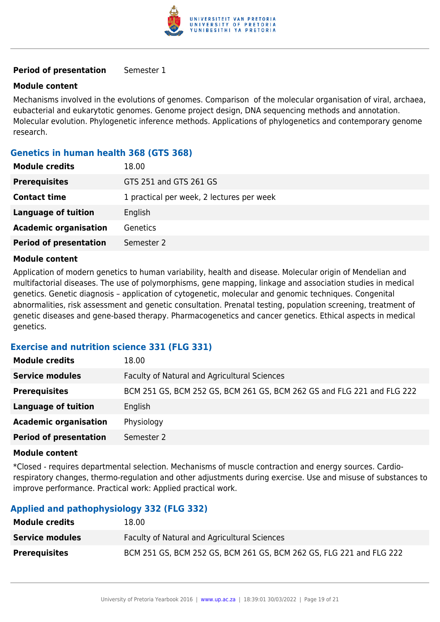

#### **Period of presentation** Semester 1

#### **Module content**

Mechanisms involved in the evolutions of genomes. Comparison of the molecular organisation of viral, archaea, eubacterial and eukarytotic genomes. Genome project design, DNA sequencing methods and annotation. Molecular evolution. Phylogenetic inference methods. Applications of phylogenetics and contemporary genome research.

#### **Genetics in human health 368 (GTS 368)**

| <b>Module credits</b>         | 18.00                                     |
|-------------------------------|-------------------------------------------|
| <b>Prerequisites</b>          | GTS 251 and GTS 261 GS                    |
| <b>Contact time</b>           | 1 practical per week, 2 lectures per week |
| <b>Language of tuition</b>    | English                                   |
| <b>Academic organisation</b>  | <b>Genetics</b>                           |
| <b>Period of presentation</b> | Semester 2                                |

#### **Module content**

Application of modern genetics to human variability, health and disease. Molecular origin of Mendelian and multifactorial diseases. The use of polymorphisms, gene mapping, linkage and association studies in medical genetics. Genetic diagnosis – application of cytogenetic, molecular and genomic techniques. Congenital abnormalities, risk assessment and genetic consultation. Prenatal testing, population screening, treatment of genetic diseases and gene-based therapy. Pharmacogenetics and cancer genetics. Ethical aspects in medical genetics.

#### **Exercise and nutrition science 331 (FLG 331)**

| <b>Module credits</b>         | 18.00                                                                  |
|-------------------------------|------------------------------------------------------------------------|
| <b>Service modules</b>        | Faculty of Natural and Agricultural Sciences                           |
| <b>Prerequisites</b>          | BCM 251 GS, BCM 252 GS, BCM 261 GS, BCM 262 GS and FLG 221 and FLG 222 |
| <b>Language of tuition</b>    | English                                                                |
| <b>Academic organisation</b>  | Physiology                                                             |
| <b>Period of presentation</b> | Semester 2                                                             |

#### **Module content**

\*Closed - requires departmental selection. Mechanisms of muscle contraction and energy sources. Cardiorespiratory changes, thermo-regulation and other adjustments during exercise. Use and misuse of substances to improve performance. Practical work: Applied practical work.

## **Applied and pathophysiology 332 (FLG 332)**

| <b>Module credits</b>  | 18.00                                                               |
|------------------------|---------------------------------------------------------------------|
| <b>Service modules</b> | <b>Faculty of Natural and Agricultural Sciences</b>                 |
| <b>Prerequisites</b>   | BCM 251 GS, BCM 252 GS, BCM 261 GS, BCM 262 GS, FLG 221 and FLG 222 |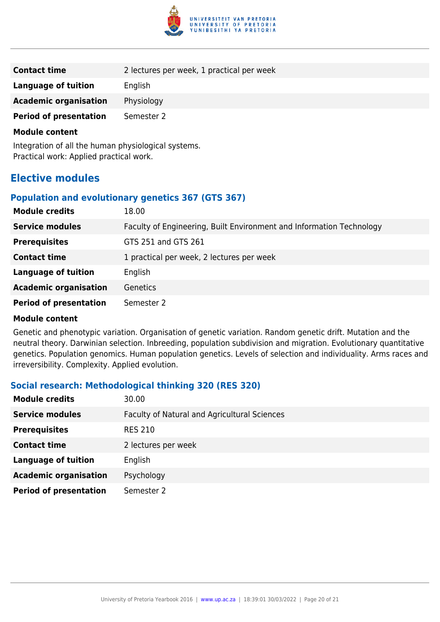

| 2 lectures per week, 1 practical per week |
|-------------------------------------------|
| English                                   |
| Physiology                                |
| Semester 2                                |
|                                           |

Integration of all the human physiological systems. Practical work: Applied practical work.

## **Elective modules**

#### **Population and evolutionary genetics 367 (GTS 367)**

| <b>Module credits</b>         | 18.00                                                                |
|-------------------------------|----------------------------------------------------------------------|
| <b>Service modules</b>        | Faculty of Engineering, Built Environment and Information Technology |
| <b>Prerequisites</b>          | GTS 251 and GTS 261                                                  |
| <b>Contact time</b>           | 1 practical per week, 2 lectures per week                            |
| <b>Language of tuition</b>    | English                                                              |
| <b>Academic organisation</b>  | Genetics                                                             |
| <b>Period of presentation</b> | Semester 2                                                           |

#### **Module content**

Genetic and phenotypic variation. Organisation of genetic variation. Random genetic drift. Mutation and the neutral theory. Darwinian selection. Inbreeding, population subdivision and migration. Evolutionary quantitative genetics. Population genomics. Human population genetics. Levels of selection and individuality. Arms races and irreversibility. Complexity. Applied evolution.

## **Social research: Methodological thinking 320 (RES 320)**

| <b>Module credits</b>         | 30.00                                        |
|-------------------------------|----------------------------------------------|
| <b>Service modules</b>        | Faculty of Natural and Agricultural Sciences |
| <b>Prerequisites</b>          | <b>RES 210</b>                               |
| <b>Contact time</b>           | 2 lectures per week                          |
| <b>Language of tuition</b>    | English                                      |
| <b>Academic organisation</b>  | Psychology                                   |
| <b>Period of presentation</b> | Semester 2                                   |